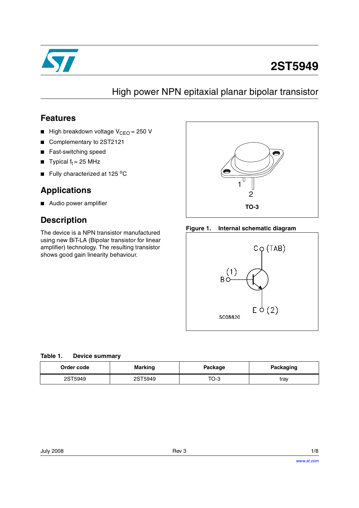

# **2ST5949**

## High power NPN epitaxial planar bipolar transistor

### **Features**

- High breakdown voltage  $V_{CFO} = 250$  V
- Complementary to 2ST2121
- Fast-switching speed
- **Typical f<sub>t</sub>** = 25 MHz
- **■** Fully characterized at 125  $^{\circ}$ C

### **Applications**

■ Audio power amplifier

### **Description**

The device is a NPN transistor manufactured using new BiT-LA (Bipolar transistor for linear amplifier) technology. The resulting transistor shows good gain linearity behaviour.



#### **Figure 1. Internal schematic diagram**



| Order code | <b>Marking</b> | Package | <b>Packaging</b> |
|------------|----------------|---------|------------------|
| 2ST5949    | 2ST5949        | TO-3    | tray             |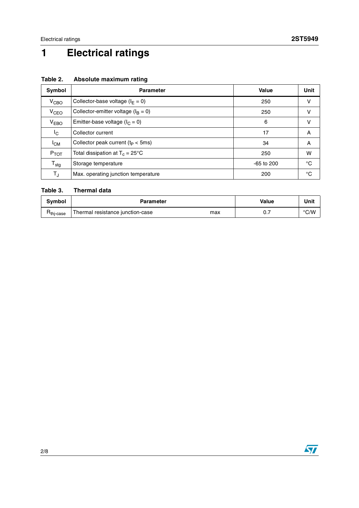# **1 Electrical ratings**

| Symbol           | <b>Parameter</b>                          | Value        | Unit |
|------------------|-------------------------------------------|--------------|------|
| $V_{CBO}$        | Collector-base voltage ( $I_F = 0$ )      | 250          | ν    |
| V <sub>CEO</sub> | Collector-emitter voltage ( $I_B = 0$ )   | 250          | ν    |
| V <sub>EBO</sub> | Emitter-base voltage ( $I_C = 0$ )        | 6            | ν    |
| I <sub>C</sub>   | Collector current                         | 17           | A    |
| <sup>I</sup> CM  | Collector peak current $(t_P < 5ms)$      | 34           | A    |
| $P_{TOT}$        | Total dissipation at $T_c = 25^{\circ}$ C | 250          | w    |
| $T_{\text{stg}}$ | Storage temperature                       | $-65$ to 200 | °C   |
| TJ               | Max. operating junction temperature       | 200          | °C   |

#### **Table 2. Absolute maximum rating**

#### **Table 3. Thermal data**

| Svmbol           | Parameter                               | <b>Value</b> | Unit          |
|------------------|-----------------------------------------|--------------|---------------|
| <b>Hthi-case</b> | Thermal resistance junction-case<br>max | υ.,          | $\degree$ C/W |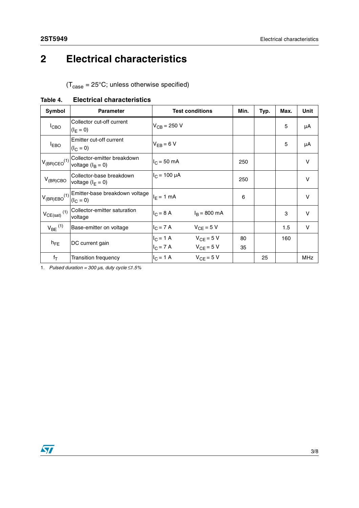## **2 Electrical characteristics**

 $(T_{\text{case}} = 25^{\circ}\text{C}$ ; unless otherwise specified)

| Symbol                       | <b>Parameter</b>                                   | <b>Test conditions</b> |                        | Min. | Typ. | Max. | Unit         |
|------------------------------|----------------------------------------------------|------------------------|------------------------|------|------|------|--------------|
| I <sub>CBO</sub>             | Collector cut-off current<br>$(I_F = 0)$           | $V_{CB} = 250 V$       |                        |      |      | 5    | μA           |
| <b>I</b> EBO                 | Emitter cut-off current<br>$(I_C = 0)$             | $V_{FB} = 6 V$         |                        |      |      | 5    | μA           |
| $V_{(BR)CEO}^{(1)}$          | Collector-emitter breakdown<br>voltage $(I_R = 0)$ | $I_C = 50$ mA          |                        | 250  |      |      | $\mathsf{V}$ |
| $V_{(BR)CBO}$                | Collector-base breakdown<br>voltage $(I_F = 0)$    | $I_C = 100 \mu A$      |                        | 250  |      |      | $\vee$       |
| $V_{(BR)EBO}^{(1)}$          | Emitter-base breakdown voltage<br>$(I_C = 0)$      | $I_F = 1$ mA           |                        | 6    |      |      | $\vee$       |
| $V_{CE(sat)}$ <sup>(1)</sup> | Collector-emitter saturation<br>voltage            | $I_C = 8 A$            | $I_R = 800 \text{ mA}$ |      |      | 3    | v            |
| $V_{BE}$ <sup>(1)</sup>      | Base-emitter on voltage                            | $I_C = 7 A$            | $V_{CF} = 5 V$         |      |      | 1.5  | V            |
| $h_{FE}$                     | DC current gain                                    | $I_C = 1 A$            | $V_{CE} = 5 V$         | 80   |      | 160  |              |
|                              |                                                    | $I_C = 7 A$            | $V_{CF} = 5 V$         | 35   |      |      |              |
| $f_T$                        | Transition frequency                               | $I_C = 1 A$            | $V_{CF} = 5 V$         |      | 25   |      | <b>MHz</b>   |

#### **Table 4. Electrical characteristics**

1. *Pulsed duration = 300 µs, duty cycle*  $\leq 1.5\%$ 

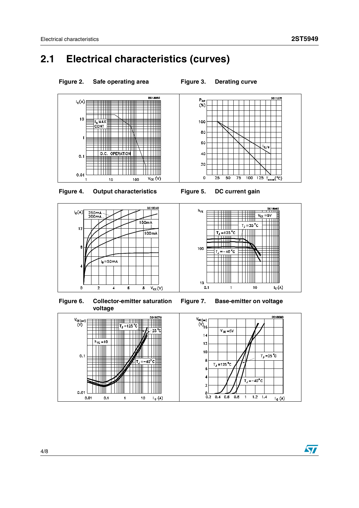## **2.1 Electrical characteristics (curves)**



 $T_J = -40^{\circ}C$ 

 $\mathbf 1$ 

 $1.2$  1.4

 $I_c(A)$ 

 $\overline{2}$ 

 $\mathbf 0$ 

 $0.2$ 

 $0.4$  0.6 0.8

 $0.01$ 

 $0.01$ 

 $0.1$ 

 $\overline{1}$ 

 $10$ 

 $L_c(A)$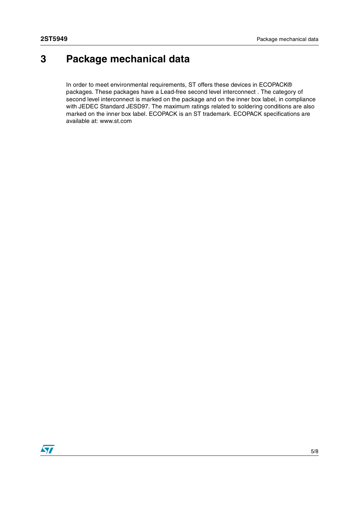## **3 Package mechanical data**

In order to meet environmental requirements, ST offers these devices in ECOPACK® packages. These packages have a Lead-free second level interconnect . The category of second level interconnect is marked on the package and on the inner box label, in compliance with JEDEC Standard JESD97. The maximum ratings related to soldering conditions are also marked on the inner box label. ECOPACK is an ST trademark. ECOPACK specifications are available at: www.st.com

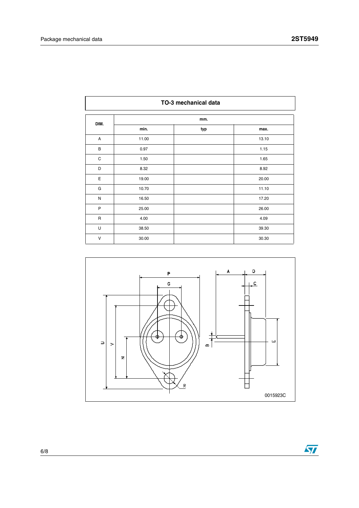|              | TO-3 mechanical data |     |       |  |  |
|--------------|----------------------|-----|-------|--|--|
| DIM.         | mm.                  |     |       |  |  |
|              | min.                 | typ | max.  |  |  |
| Α            | 11.00                |     | 13.10 |  |  |
| B            | 0.97                 |     | 1.15  |  |  |
| C            | 1.50                 |     | 1.65  |  |  |
| D            | 8.32                 |     | 8.92  |  |  |
| E            | 19.00                |     | 20.00 |  |  |
| G            | 10.70                |     | 11.10 |  |  |
| ${\sf N}$    | 16.50                |     | 17.20 |  |  |
| P            | 25.00                |     | 26.00 |  |  |
| $\mathsf{R}$ | 4.00                 |     | 4.09  |  |  |
| U            | 38.50                |     | 39.30 |  |  |
| V            | 30.00                |     | 30.30 |  |  |



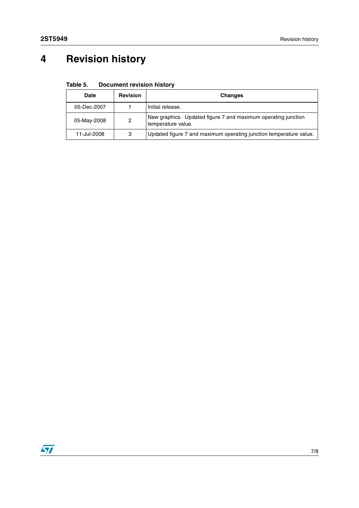# **4 Revision history**

| <b>Date</b> | <b>Revision</b> | <b>Changes</b>                                                                      |  |  |
|-------------|-----------------|-------------------------------------------------------------------------------------|--|--|
| 05-Dec-2007 |                 | Initial release.                                                                    |  |  |
| 05-May-2008 | 2               | New graphics. Updated figure 7 and maximum operating junction<br>temperature value. |  |  |
| 11-Jul-2008 | 3               | Updated figure 7 and maximum operating junction temperature value.                  |  |  |

**Table 5. Document revision history**